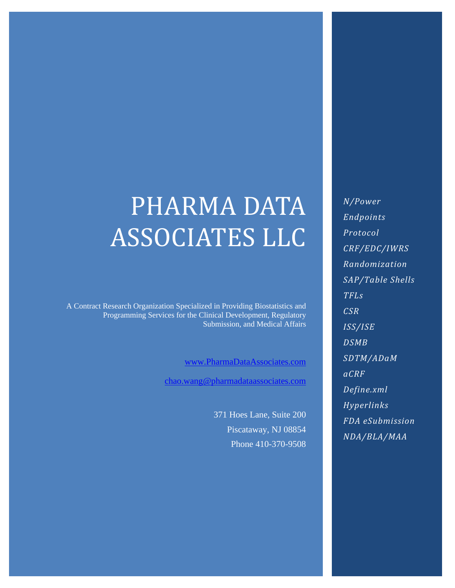# PHARMA DATA ASSOCIATES LLC

A Contract Research Organization Specialized in Providing Biostatistics and Programming Services for the Clinical Development, Regulatory Submission, and Medical Affairs

[www.PharmaDataAssociates.com](http://www.pharmadataassociates.com/)

[chao.wang@pharmadataassociates.com](mailto:chao.wang@pharmadataassociates.com)

371 Hoes Lane, Suite 200 Piscataway, NJ 08854 Phone 410-370-9508

*N/Power Endpoints Protocol CRF/EDC/IWRS Randomization SAP/Table Shells TFLs CSR ISS/ISE DSMB SDTM/ADaM aCRF Define.xml Hyperlinks FDA eSubmission NDA/BLA/MAA*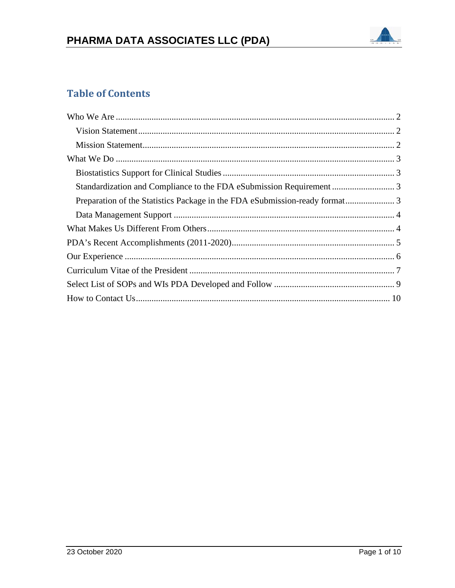

# **Table of Contents**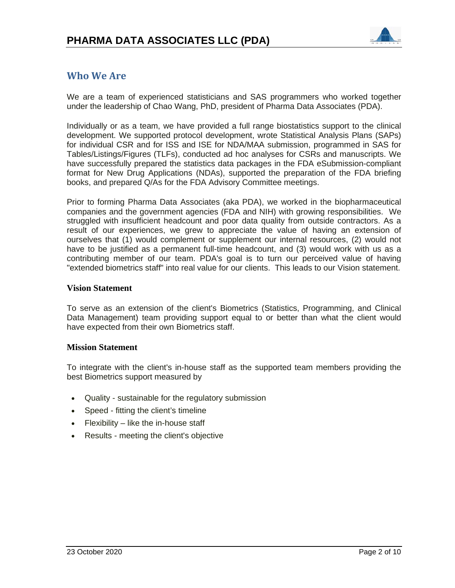

# <span id="page-2-0"></span>**Who We Are**

We are a team of experienced statisticians and SAS programmers who worked together under the leadership of Chao Wang, PhD, president of Pharma Data Associates (PDA).

Individually or as a team, we have provided a full range biostatistics support to the clinical development. We supported protocol development, wrote Statistical Analysis Plans (SAPs) for individual CSR and for ISS and ISE for NDA/MAA submission, programmed in SAS for Tables/Listings/Figures (TLFs), conducted ad hoc analyses for CSRs and manuscripts. We have successfully prepared the statistics data packages in the FDA eSubmission-compliant format for New Drug Applications (NDAs), supported the preparation of the FDA briefing books, and prepared Q/As for the FDA Advisory Committee meetings.

Prior to forming Pharma Data Associates (aka PDA), we worked in the biopharmaceutical companies and the government agencies (FDA and NIH) with growing responsibilities. We struggled with insufficient headcount and poor data quality from outside contractors. As a result of our experiences, we grew to appreciate the value of having an extension of ourselves that (1) would complement or supplement our internal resources, (2) would not have to be justified as a permanent full-time headcount, and (3) would work with us as a contributing member of our team. PDA's goal is to turn our perceived value of having "extended biometrics staff" into real value for our clients. This leads to our Vision statement.

## <span id="page-2-1"></span>**Vision Statement**

To serve as an extension of the client's Biometrics (Statistics, Programming, and Clinical Data Management) team providing support equal to or better than what the client would have expected from their own Biometrics staff.

## <span id="page-2-2"></span>**Mission Statement**

To integrate with the client's in-house staff as the supported team members providing the best Biometrics support measured by

- Quality sustainable for the regulatory submission
- Speed fitting the client's timeline
- Flexibility like the in-house staff
- Results meeting the client's objective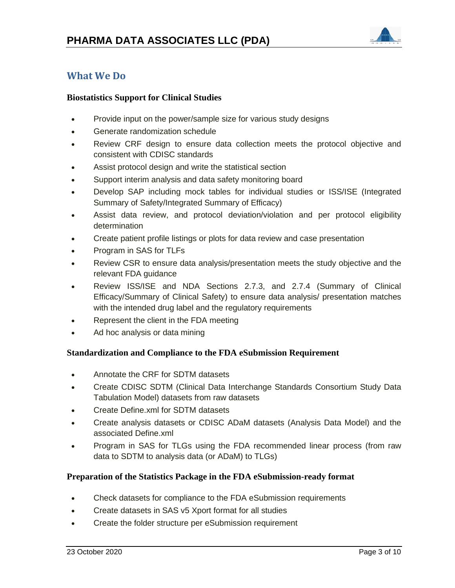

# <span id="page-3-1"></span><span id="page-3-0"></span>**What We Do**

# **Biostatistics Support for Clinical Studies**

- Provide input on the power/sample size for various study designs
- Generate randomization schedule
- Review CRF design to ensure data collection meets the protocol objective and consistent with CDISC standards
- Assist protocol design and write the statistical section
- Support interim analysis and data safety monitoring board
- Develop SAP including mock tables for individual studies or ISS/ISE (Integrated Summary of Safety/Integrated Summary of Efficacy)
- Assist data review, and protocol deviation/violation and per protocol eligibility determination
- Create patient profile listings or plots for data review and case presentation
- Program in SAS for TLFs
- Review CSR to ensure data analysis/presentation meets the study objective and the relevant FDA guidance
- Review ISS/ISE and NDA Sections 2.7.3, and 2.7.4 (Summary of Clinical Efficacy/Summary of Clinical Safety) to ensure data analysis/ presentation matches with the intended drug label and the regulatory requirements
- Represent the client in the FDA meeting
- Ad hoc analysis or data mining

## <span id="page-3-2"></span>**Standardization and Compliance to the FDA eSubmission Requirement**

- Annotate the CRF for SDTM datasets
- Create CDISC SDTM (Clinical Data Interchange Standards Consortium Study Data Tabulation Model) datasets from raw datasets
- Create Define.xml for SDTM datasets
- Create analysis datasets or CDISC ADaM datasets (Analysis Data Model) and the associated Define.xml
- Program in SAS for TLGs using the FDA recommended linear process (from raw data to SDTM to analysis data (or ADaM) to TLGs)

## <span id="page-3-3"></span>**Preparation of the Statistics Package in the FDA eSubmission-ready format**

- Check datasets for compliance to the FDA eSubmission requirements
- Create datasets in SAS v5 Xport format for all studies
- Create the folder structure per eSubmission requirement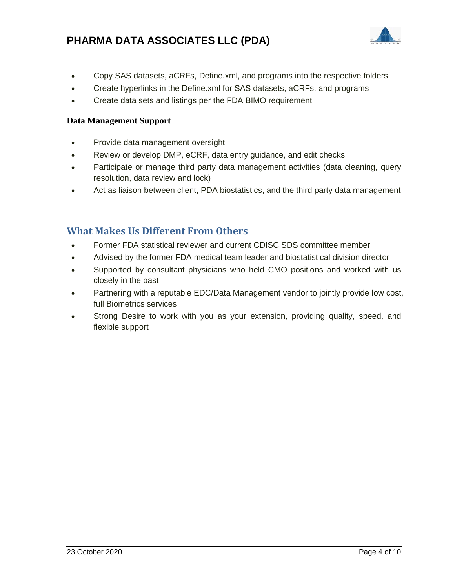

- Copy SAS datasets, aCRFs, Define.xml, and programs into the respective folders
- Create hyperlinks in the Define.xml for SAS datasets, aCRFs, and programs
- Create data sets and listings per the FDA BIMO requirement

# <span id="page-4-0"></span>**Data Management Support**

- Provide data management oversight
- Review or develop DMP, eCRF, data entry guidance, and edit checks
- Participate or manage third party data management activities (data cleaning, query resolution, data review and lock)
- Act as liaison between client, PDA biostatistics, and the third party data management

# <span id="page-4-1"></span>**What Makes Us Different From Others**

- Former FDA statistical reviewer and current CDISC SDS committee member
- Advised by the former FDA medical team leader and biostatistical division director
- Supported by consultant physicians who held CMO positions and worked with us closely in the past
- Partnering with a reputable EDC/Data Management vendor to jointly provide low cost, full Biometrics services
- Strong Desire to work with you as your extension, providing quality, speed, and flexible support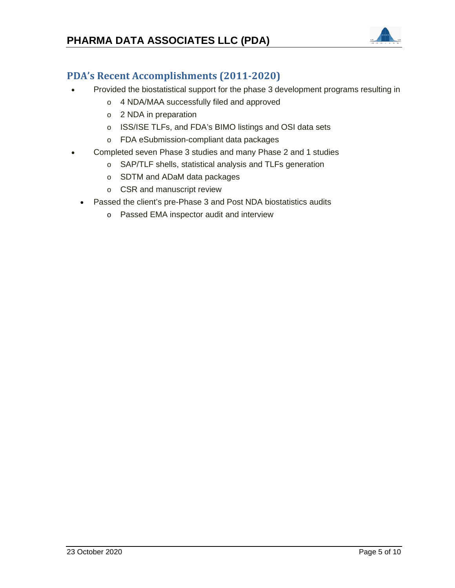# **PHARMA DATA ASSOCIATES LLC (PDA)**



# <span id="page-5-0"></span>**PDA's Recent Accomplishments (2011-2020)**

- Provided the biostatistical support for the phase 3 development programs resulting in
	- o 4 NDA/MAA successfully filed and approved
	- o 2 NDA in preparation
	- o ISS/ISE TLFs, and FDA's BIMO listings and OSI data sets
	- o FDA eSubmission-compliant data packages
- Completed seven Phase 3 studies and many Phase 2 and 1 studies
	- o SAP/TLF shells, statistical analysis and TLFs generation
	- o SDTM and ADaM data packages
	- o CSR and manuscript review
	- Passed the client's pre-Phase 3 and Post NDA biostatistics audits
		- o Passed EMA inspector audit and interview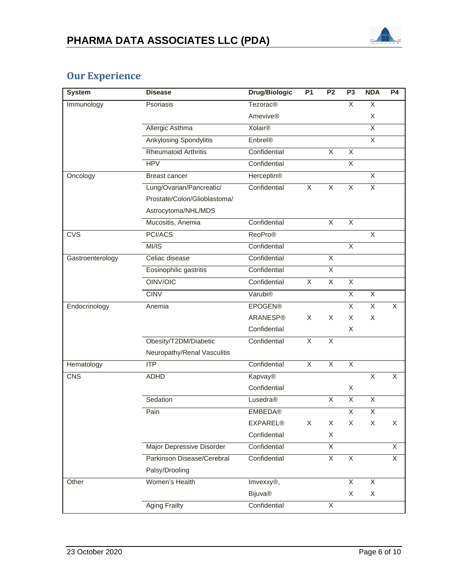

# <span id="page-6-0"></span>**Our Experience**

| <b>System</b>    | <b>Disease</b>                   | <b>Drug/Biologic</b>       | <b>P1</b>               | P <sub>2</sub> | P <sub>3</sub>          | <b>NDA</b>              | <b>P4</b>      |
|------------------|----------------------------------|----------------------------|-------------------------|----------------|-------------------------|-------------------------|----------------|
| Immunology       | Psoriasis                        | <b>Tezorac<sup>®</sup></b> |                         |                | X                       | X                       |                |
|                  |                                  | <b>Amevive®</b>            |                         |                |                         | X                       |                |
|                  | Allergic Asthma                  | Xolair <sup>®</sup>        |                         |                |                         | X                       |                |
|                  | <b>Ankylosing Spondylitis</b>    | Enbrel®                    |                         |                |                         | $\overline{X}$          |                |
|                  | <b>Rheumatoid Arthritis</b>      | Confidential               |                         | $\overline{X}$ | $\overline{\mathsf{X}}$ |                         |                |
|                  | <b>HPV</b>                       | Confidential               |                         |                | $\overline{\mathsf{X}}$ |                         |                |
| Oncology         | <b>Breast cancer</b>             | Herceptin®                 |                         |                |                         | $\overline{\mathsf{X}}$ |                |
|                  | Lung/Ovarian/Pancreatic/         | Confidential               | $\overline{\mathsf{x}}$ | $\overline{X}$ | $\overline{X}$          | $\overline{\mathsf{X}}$ |                |
|                  | Prostate/Colon/Glioblastoma/     |                            |                         |                |                         |                         |                |
|                  | Astrocytoma/NHL/MDS              |                            |                         |                |                         |                         |                |
|                  | Mucositis, Anemia                | Confidential               |                         | $\overline{X}$ | $\overline{X}$          |                         |                |
| <b>CVS</b>       | PCI/ACS                          | <b>ReoPro®</b>             |                         |                |                         | X                       |                |
|                  | MI/IS                            | Confidential               |                         |                | $\overline{\mathsf{X}}$ |                         |                |
| Gastroenterology | Celiac disease                   | Confidential               |                         | $\overline{X}$ |                         |                         |                |
|                  | Eosinophilic gastritis           | Confidential               |                         | X              |                         |                         |                |
|                  | OINV/OIC                         | Confidential               | $\overline{X}$          | $\overline{X}$ | $\overline{\mathsf{X}}$ |                         |                |
|                  | <b>CINV</b>                      | Varubi <sup>®</sup>        |                         |                | $\overline{\mathsf{X}}$ | $\overline{\mathsf{x}}$ |                |
| Endocrinology    | Anemia                           | <b>EPOGEN®</b>             |                         |                | X                       | $\overline{X}$          | X              |
|                  |                                  | ARANESP®                   | X                       | X              | X                       | X                       |                |
|                  |                                  | Confidential               |                         |                | X                       |                         |                |
|                  | Obesity/T2DM/Diabetic            | Confidential               | $\overline{X}$          | $\overline{X}$ |                         |                         |                |
|                  | Neuropathy/Renal Vasculitis      |                            |                         |                |                         |                         |                |
| Hematology       | ITP                              | Confidential               | $\overline{X}$          | $\overline{X}$ | $\overline{X}$          |                         |                |
| <b>CNS</b>       | <b>ADHD</b>                      | Kapvay®                    |                         |                |                         | $\overline{X}$          | X              |
|                  |                                  | Confidential               |                         |                | X                       |                         |                |
|                  | Sedation                         | Lusedra®                   |                         | X              | $\overline{\mathsf{X}}$ | $\overline{X}$          |                |
|                  | Pain                             | <b>EMBEDA®</b>             |                         |                | $\overline{\mathsf{X}}$ | $\overline{X}$          |                |
|                  |                                  | <b>EXPAREL®</b>            | X                       | X              | X                       | X                       | X              |
|                  |                                  | Confidential               |                         | X              |                         |                         |                |
|                  | <b>Major Depressive Disorder</b> | Confidential               |                         | $\overline{X}$ |                         |                         | $\overline{X}$ |
|                  | Parkinson Disease/Cerebral       | Confidential               |                         | $\overline{X}$ | $\overline{X}$          |                         | $\overline{X}$ |
|                  | Palsy/Drooling                   |                            |                         |                |                         |                         |                |
| Other            | Women's Health                   | Imvexxy®,                  |                         |                | $\overline{X}$          | $\overline{X}$          |                |
|                  |                                  | <b>Bijuva®</b>             |                         |                | X                       | X                       |                |
|                  | <b>Aging Frailty</b>             | Confidential               |                         | X              |                         |                         |                |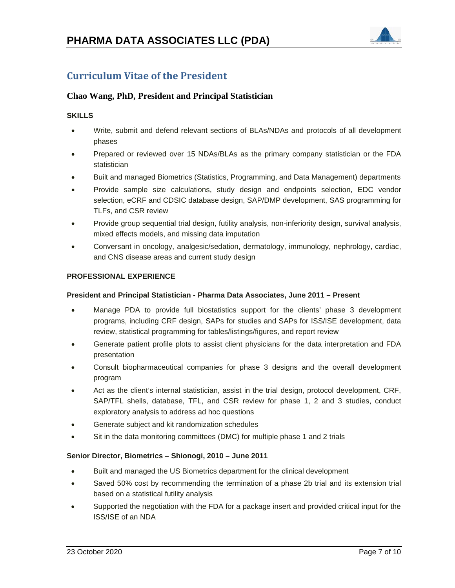# **PHARMA DATA ASSOCIATES LLC (PDA)**



# <span id="page-7-0"></span>**Curriculum Vitae of the President**

## **Chao Wang, PhD, President and Principal Statistician**

#### **SKILLS**

- Write, submit and defend relevant sections of BLAs/NDAs and protocols of all development phases
- Prepared or reviewed over 15 NDAs/BLAs as the primary company statistician or the FDA statistician
- Built and managed Biometrics (Statistics, Programming, and Data Management) departments
- Provide sample size calculations, study design and endpoints selection, EDC vendor selection, eCRF and CDSIC database design, SAP/DMP development, SAS programming for TLFs, and CSR review
- Provide group sequential trial design, futility analysis, non-inferiority design, survival analysis, mixed effects models, and missing data imputation
- Conversant in oncology, analgesic/sedation, dermatology, immunology, nephrology, cardiac, and CNS disease areas and current study design

#### **PROFESSIONAL EXPERIENCE**

#### **President and Principal Statistician - Pharma Data Associates, June 2011 – Present**

- Manage PDA to provide full biostatistics support for the clients' phase 3 development programs, including CRF design, SAPs for studies and SAPs for ISS/ISE development, data review, statistical programming for tables/listings/figures, and report review
- Generate patient profile plots to assist client physicians for the data interpretation and FDA presentation
- Consult biopharmaceutical companies for phase 3 designs and the overall development program
- Act as the client's internal statistician, assist in the trial design, protocol development, CRF, SAP/TFL shells, database, TFL, and CSR review for phase 1, 2 and 3 studies, conduct exploratory analysis to address ad hoc questions
- Generate subject and kit randomization schedules
- Sit in the data monitoring committees (DMC) for multiple phase 1 and 2 trials

#### **Senior Director, Biometrics – Shionogi, 2010 – June 2011**

- Built and managed the US Biometrics department for the clinical development
- Saved 50% cost by recommending the termination of a phase 2b trial and its extension trial based on a statistical futility analysis
- Supported the negotiation with the FDA for a package insert and provided critical input for the ISS/ISE of an NDA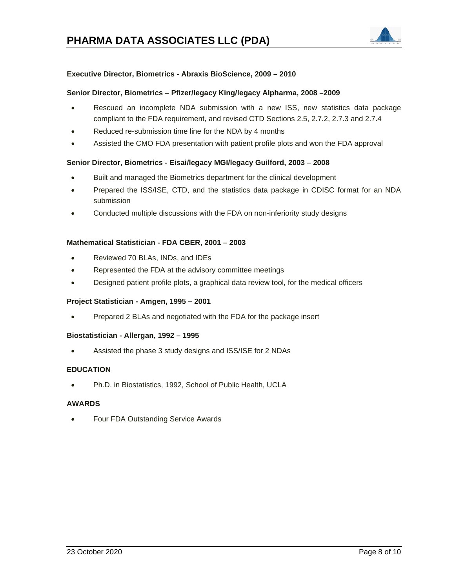

#### **Executive Director, Biometrics - Abraxis BioScience, 2009 – 2010**

#### **Senior Director, Biometrics – Pfizer/legacy King/legacy Alpharma, 2008 –2009**

- Rescued an incomplete NDA submission with a new ISS, new statistics data package compliant to the FDA requirement, and revised CTD Sections 2.5, 2.7.2, 2.7.3 and 2.7.4
- Reduced re-submission time line for the NDA by 4 months
- Assisted the CMO FDA presentation with patient profile plots and won the FDA approval

#### **Senior Director, Biometrics - Eisai/legacy MGI/legacy Guilford, 2003 – 2008**

- Built and managed the Biometrics department for the clinical development
- Prepared the ISS/ISE, CTD, and the statistics data package in CDISC format for an NDA submission
- Conducted multiple discussions with the FDA on non-inferiority study designs

#### **Mathematical Statistician - FDA CBER, 2001 – 2003**

- Reviewed 70 BLAs, INDs, and IDEs
- Represented the FDA at the advisory committee meetings
- Designed patient profile plots, a graphical data review tool, for the medical officers

#### **Project Statistician - Amgen, 1995 – 2001**

• Prepared 2 BLAs and negotiated with the FDA for the package insert

#### **Biostatistician - Allergan, 1992 – 1995**

• Assisted the phase 3 study designs and ISS/ISE for 2 NDAs

#### **EDUCATION**

• Ph.D. in Biostatistics, 1992, School of Public Health, UCLA

#### **AWARDS**

• Four FDA Outstanding Service Awards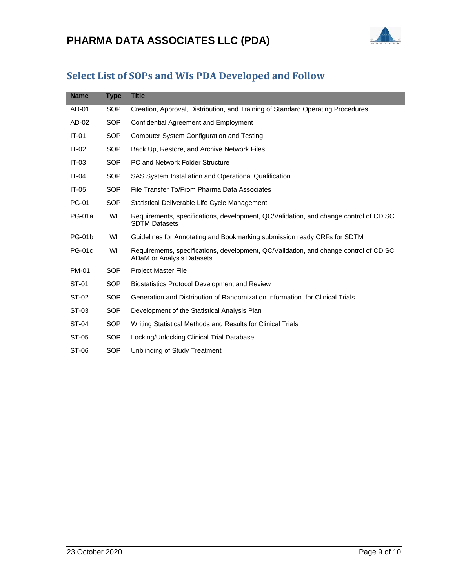

# <span id="page-9-0"></span>**Select List of SOPs and WIs PDA Developed and Follow**

| <b>Name</b>   | <b>Type</b> | <b>Title</b>                                                                                                              |
|---------------|-------------|---------------------------------------------------------------------------------------------------------------------------|
| AD-01         | SOP         | Creation, Approval, Distribution, and Training of Standard Operating Procedures                                           |
| AD-02         | <b>SOP</b>  | <b>Confidential Agreement and Employment</b>                                                                              |
| $IT-01$       | <b>SOP</b>  | Computer System Configuration and Testing                                                                                 |
| $IT-02$       | <b>SOP</b>  | Back Up, Restore, and Archive Network Files                                                                               |
| $IT-03$       | <b>SOP</b>  | PC and Network Folder Structure                                                                                           |
| $IT-04$       | <b>SOP</b>  | SAS System Installation and Operational Qualification                                                                     |
| $IT-05$       | <b>SOP</b>  | File Transfer To/From Pharma Data Associates                                                                              |
| <b>PG-01</b>  | <b>SOP</b>  | Statistical Deliverable Life Cycle Management                                                                             |
| <b>PG-01a</b> | WI          | Requirements, specifications, development, QC/Validation, and change control of CDISC<br><b>SDTM Datasets</b>             |
| <b>PG-01b</b> | WI          | Guidelines for Annotating and Bookmarking submission ready CRFs for SDTM                                                  |
| <b>PG-01c</b> | WI          | Requirements, specifications, development, QC/Validation, and change control of CDISC<br><b>ADaM or Analysis Datasets</b> |
| <b>PM-01</b>  | SOP         | <b>Project Master File</b>                                                                                                |
| ST-01         | <b>SOP</b>  | <b>Biostatistics Protocol Development and Review</b>                                                                      |
| ST-02         | SOP         | Generation and Distribution of Randomization Information for Clinical Trials                                              |
| ST-03         | SOP         | Development of the Statistical Analysis Plan                                                                              |
| ST-04         | SOP         | Writing Statistical Methods and Results for Clinical Trials                                                               |
| ST-05         | <b>SOP</b>  | Locking/Unlocking Clinical Trial Database                                                                                 |
| ST-06         | <b>SOP</b>  | Unblinding of Study Treatment                                                                                             |